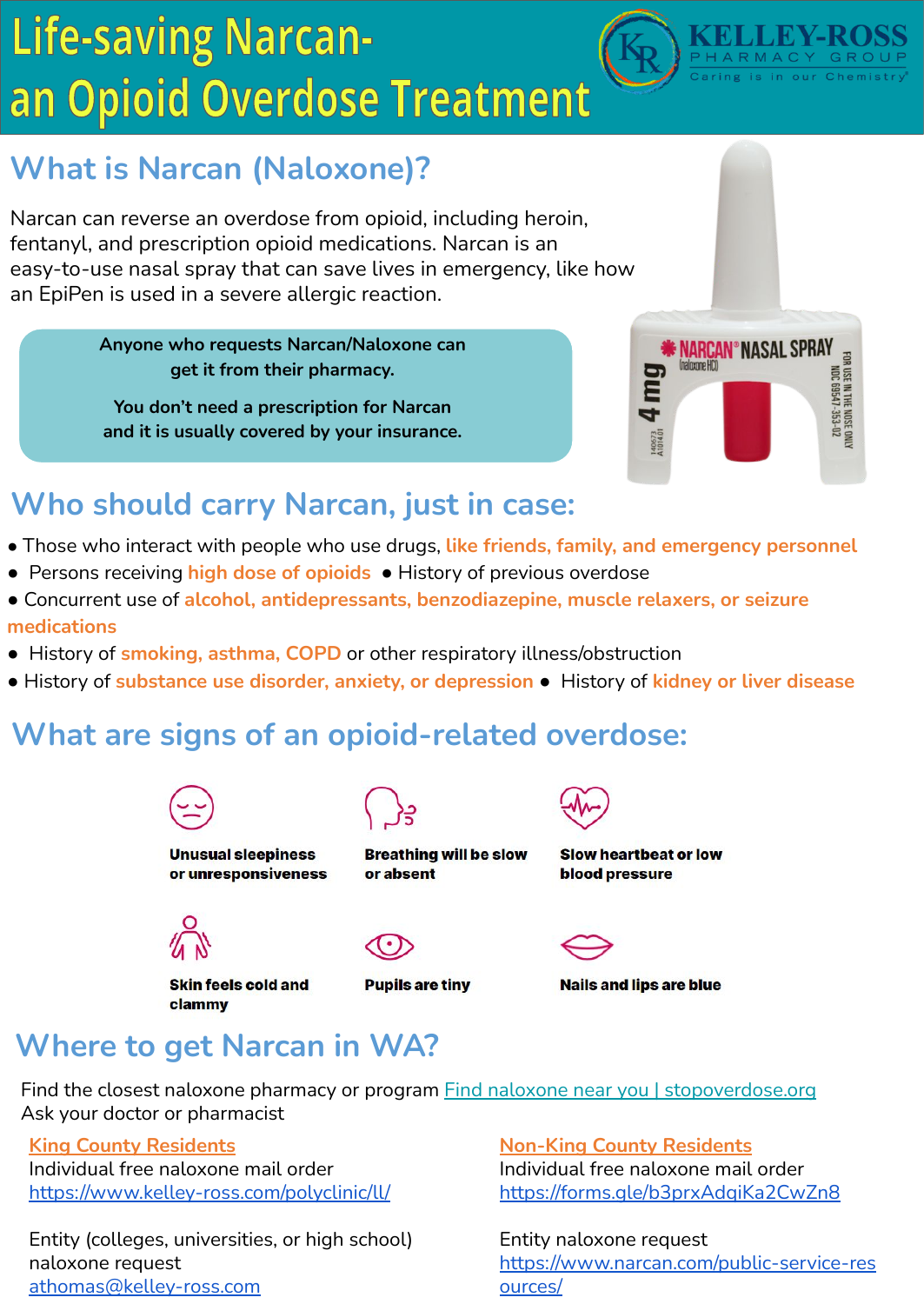# **Life-saving Narcan**an Opioid Overdose Treatment



# **What is Narcan (Naloxone)?**

Narcan can reverse an overdose from opioid, including heroin, fentanyl, and prescription opioid medications. Narcan is an easy-to-use nasal spray that can save lives in emergency, like how an EpiPen is used in a severe allergic reaction.

> **Anyone who requests Narcan/Naloxone can get it from their pharmacy.**

**You don't need a prescription for Narcan and it is usually covered by your insurance.**



## **Who should carry Narcan, just in case:**

- Those who interact with people who use drugs, **like friends, family, and emergency personnel**
- Persons receiving **high dose of opioids** History of previous overdose
- Concurrent use of **alcohol, antidepressants, benzodiazepine, muscle relaxers, or seizure medications**
- History of **smoking, asthma, COPD** or other respiratory illness/obstruction
- History of **substance use disorder, anxiety, or depression** History of **kidney or liver disease**

### **What are signs of an opioid-related overdose:**



**Unusual sleepiness** or unresponsiveness



**Breathing will be slow** or absent



**Slow heartbeat or low blood pressure** 

**Nails and lips are blue** 

**Skin feels cold and** clammy





### **Where to get Narcan in WA?**

Find the closest naloxone pharmacy or program **Find naloxone near you I** stopoverdose.org Ask your doctor or pharmacist

**King County Residents** Individual free naloxone mail order <https://www.kelley-ross.com/polyclinic/ll/>

Entity (colleges, universities, or high school) naloxone request athomas@kelley-ross.com

**Non-King County Residents** Individual free naloxone mail order [https://forms.gle/b3prxAdqiKa2CwZn8](https://gcc02.safelinks.protection.outlook.com/?url=https%3A%2F%2Fforms.gle%2Fb3prxAdqiKa2CwZn8&data=05%7C01%7Csean.hemmerle%40doh.wa.gov%7Cf70af2160fa44946b69608da345d6480%7C11d0e217264e400a8ba057dcc127d72d%7C0%7C0%7C637879873410321245%7CUnknown%7CTWFpbGZsb3d8eyJWIjoiMC4wLjAwMDAiLCJQIjoiV2luMzIiLCJBTiI6Ik1haWwiLCJXVCI6Mn0%3D%7C0%7C%7C%7C&sdata=LpTWMLpyjdHtcs%2BJ5frkIHoscX3msWFMHWzGIpCqyrc%3D&reserved=0)

Entity naloxone request https://www.narcan.com/public-service-res ources/